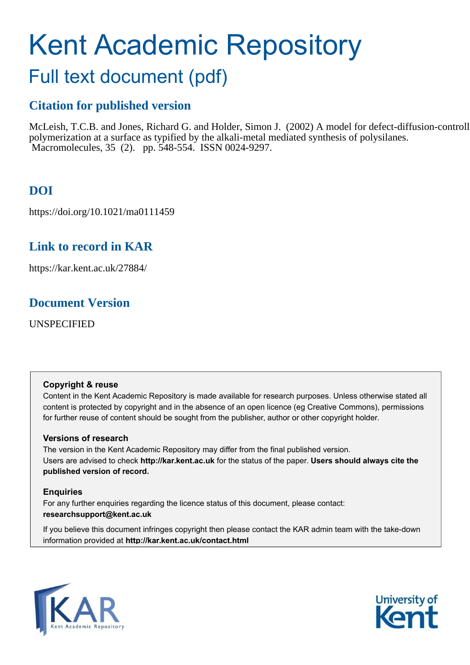# Kent Academic Repository

# Full text document (pdf)

# **Citation for published version**

McLeish, T.C.B. and Jones, Richard G. and Holder, Simon J. (2002) A model for defect-diffusion-controll polymerization at a surface as typified by the alkali-metal mediated synthesis of polysilanes. Macromolecules, 35 (2). pp. 548-554. ISSN 0024-9297.

# **DOI**

https://doi.org/10.1021/ma0111459

# **Link to record in KAR**

https://kar.kent.ac.uk/27884/

### **Document Version**

UNSPECIFIED

#### **Copyright & reuse**

Content in the Kent Academic Repository is made available for research purposes. Unless otherwise stated all content is protected by copyright and in the absence of an open licence (eg Creative Commons), permissions for further reuse of content should be sought from the publisher, author or other copyright holder.

#### **Versions of research**

The version in the Kent Academic Repository may differ from the final published version. Users are advised to check **http://kar.kent.ac.uk** for the status of the paper. **Users should always cite the published version of record.**

#### **Enquiries**

For any further enquiries regarding the licence status of this document, please contact: **researchsupport@kent.ac.uk**

If you believe this document infringes copyright then please contact the KAR admin team with the take-down information provided at **http://kar.kent.ac.uk/contact.html**



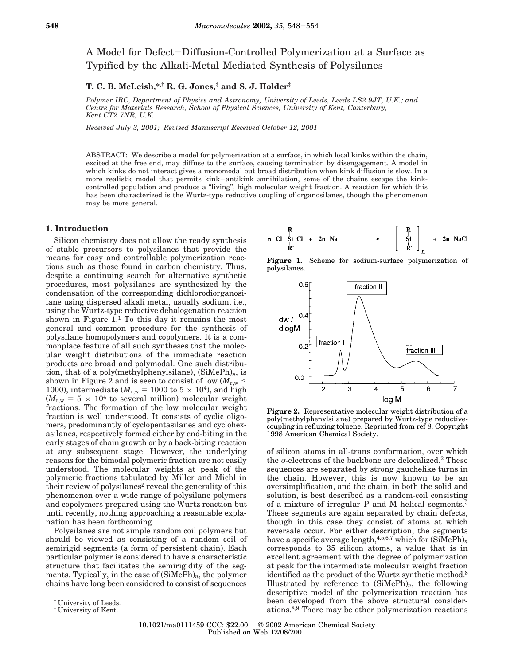A Model for Defect-Diffusion-Controlled Polymerization at a Surface as Typified by the Alkali-Metal Mediated Synthesis of Polysilanes

#### **T. C. B. McLeish,\*,† R. G. Jones,‡ and S. J. Holder‡**

*Polymer IRC, Department of Physics and Astronomy, University of Leeds, Leeds LS2 9JT, U.K.; and Centre for Materials Research, School of Physical Sciences, University of Kent, Canterbury, Kent CT2 7NR, U.K.*

*Received July 3, 2001; Revised Manuscript Received October 12, 2001*

ABSTRACT: We describe a model for polymerization at a surface, in which local kinks within the chain, excited at the free end, may diffuse to the surface, causing termination by disengagement. A model in which kinks do not interact gives a monomodal but broad distribution when kink diffusion is slow. In a more realistic model that permits kink-antikink annihilation, some of the chains escape the kinkcontrolled population and produce a "living", high molecular weight fraction. A reaction for which this has been characterized is the Wurtz-type reductive coupling of organosilanes, though the phenomenon may be more general.

#### **1. Introduction**

Silicon chemistry does not allow the ready synthesis of stable precursors to polysilanes that provide the means for easy and controllable polymerization reactions such as those found in carbon chemistry. Thus, despite a continuing search for alternative synthetic procedures, most polysilanes are synthesized by the condensation of the corresponding dichlorodiorganosilane using dispersed alkali metal, usually sodium, i.e., using the Wurtz-type reductive dehalogenation reaction shown in Figure  $1<sup>1</sup>$  To this day it remains the most general and common procedure for the synthesis of polysilane homopolymers and copolymers. It is a commonplace feature of all such syntheses that the molecular weight distributions of the immediate reaction products are broad and polymodal. One such distribution, that of a poly(methylphenylsilane), (SiMePh)*n*, is shown in Figure 2 and is seen to consist of low  $(M_{r,w}$  < 1000), intermediate ( $M_{r,w} = 1000$  to  $5 \times 10^4$ ), and high  $(M_{r,w} = 5 \times 10^4$  to several million) molecular weight fractions. The formation of the low molecular weight fraction is well understood. It consists of cyclic oligomers, predominantly of cyclopentasilanes and cyclohexasilanes, respectively formed either by end-biting in the early stages of chain growth or by a back-biting reaction at any subsequent stage. However, the underlying reasons for the bimodal polymeric fraction are not easily understood. The molecular weights at peak of the polymeric fractions tabulated by Miller and Michl in their review of polysilanes<sup>2</sup> reveal the generality of this phenomenon over a wide range of polysilane polymers and copolymers prepared using the Wurtz reaction but until recently, nothing approaching a reasonable explanation has been forthcoming.

Polysilanes are not simple random coil polymers but should be viewed as consisting of a random coil of semirigid segments (a form of persistent chain). Each particular polymer is considered to have a characteristic structure that facilitates the semirigidity of the segments. Typically, in the case of (SiMePh)*n*, the polymer chains have long been considered to consist of sequences

† University of Leeds.

‡ University of Kent.



**Figure 1.** Scheme for sodium-surface polymerization of polysilanes.



**Figure 2.** Representative molecular weight distribution of a poly(methylphenylsilane) prepared by Wurtz-type reductivecoupling in refluxing toluene. Reprinted from ref 8. Copyright 1998 American Chemical Society.

of silicon atoms in all-trans conformation, over which the  $\sigma$ -electrons of the backbone are delocalized.<sup>2</sup> These sequences are separated by strong gauchelike turns in the chain. However, this is now known to be an oversimplification, and the chain, in both the solid and solution, is best described as a random-coil consisting of a mixture of irregular P and M helical segments.<sup>3</sup> These segments are again separated by chain defects, though in this case they consist of atoms at which reversals occur. For either description, the segments have a specific average length,  $4,5,6,7$  which for  $(Si\overline{M}ePh)_n$ corresponds to 35 silicon atoms, a value that is in excellent agreement with the degree of polymerization at peak for the intermediate molecular weight fraction identified as the product of the Wurtz synthetic method.<sup>8</sup> Illustrated by reference to (SiMePh)*n*, the following descriptive model of the polymerization reaction has been developed from the above structural considerations.8,9 There may be other polymerization reactions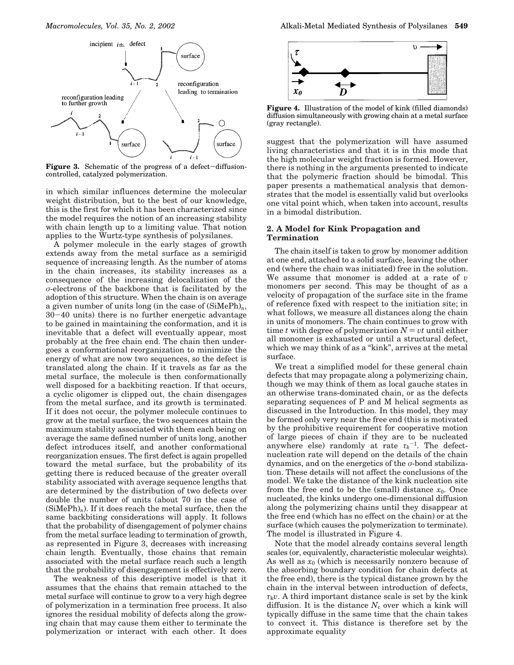

Figure 3. Schematic of the progress of a defect-diffusioncontrolled, catalyzed polymerization.

in which similar influences determine the molecular weight distribution, but to the best of our knowledge, this is the first for which it has been characterized since the model requires the notion of an increasing stability with chain length up to a limiting value. That notion applies to the Wurtz-type synthesis of polysilanes.

A polymer molecule in the early stages of growth extends away from the metal surface as a semirigid sequence of increasing length. As the number of atoms in the chain increases, its stability increases as a consequence of the increasing delocalization of the σ-electrons of the backbone that is facilitated by the adoption of this structure. When the chain is on average a given number of units long (in the case of (SiMePh)*n*, 30-40 units) there is no further energetic advantage to be gained in maintaining the conformation, and it is inevitable that a defect will eventually appear, most probably at the free chain end. The chain then undergoes a conformational reorganization to minimize the energy of what are now two sequences, so the defect is translated along the chain. If it travels as far as the metal surface, the molecule is then conformationally well disposed for a backbiting reaction. If that occurs, a cyclic oligomer is clipped out, the chain disengages from the metal surface, and its growth is terminated. If it does not occur, the polymer molecule continues to grow at the metal surface, the two sequences attain the maximum stability associated with them each being on average the same defined number of units long, another defect introduces itself, and another conformational reorganization ensues. The first defect is again propelled toward the metal surface, but the probability of its getting there is reduced because of the greater overall stability associated with average sequence lengths that are determined by the distribution of two defects over double the number of units (about 70 in the case of  $(SiMePh)<sub>n</sub>$ ). If it does reach the metal surface, then the same backbiting considerations will apply. It follows that the probability of disengagement of polymer chains from the metal surface leading to termination of growth, as represented in Figure 3, decreases with increasing chain length. Eventually, those chains that remain associated with the metal surface reach such a length that the probability of disengagement is effectively zero.

The weakness of this descriptive model is that it assumes that the chains that remain attached to the metal surface will continue to grow to a very high degree of polymerization in a termination free process. It also ignores the residual mobility of defects along the growing chain that may cause them either to terminate the polymerization or interact with each other. It does



**Figure 4.** Illustration of the model of kink (filled diamonds) diffusion simultaneously with growing chain at a metal surface (gray rectangle).

suggest that the polymerization will have assumed living characteristics and that it is in this mode that the high molecular weight fraction is formed. However, there is nothing in the arguments presented to indicate that the polymeric fraction should be bimodal. This paper presents a mathematical analysis that demonstrates that the model is essentially valid but overlooks one vital point which, when taken into account, results in a bimodal distribution.

#### **2. A Model for Kink Propagation and Termination**

The chain itself is taken to grow by monomer addition at one end, attached to a solid surface, leaving the other end (where the chain was initiated) free in the solution. We assume that monomer is added at a rate of *v* monomers per second. This may be thought of as a velocity of propagation of the surface site in the frame of reference fixed with respect to the initiation site; in what follows, we measure all distances along the chain in units of monomers. The chain continues to grow with time *t* with degree of polymerization  $N = vt$  until either all monomer is exhausted or until a structural defect, which we may think of as a "kink", arrives at the metal surface.

We treat a simplified model for these general chain defects that may propagate along a polymerizing chain, though we may think of them as local gauche states in an otherwise trans-dominated chain, or as the defects separating sequences of P and M helical segments as discussed in the Introduction. In this model, they may be formed only very near the free end (this is motivated by the prohibitive requirement for cooperative motion of large pieces of chain if they are to be nucleated anywhere else) randomly at rate  $\tau_k^{-1}$ . The defectnucleation rate will depend on the details of the chain dynamics, and on the energetics of the σ-bond stabilization. These details will not affect the conclusions of the model. We take the distance of the kink nucleation site from the free end to be the (small) distance  $x_0$ . Once nucleated, the kinks undergo one-dimensional diffusion along the polymerizing chains until they disappear at the free end (which has no effect on the chain) or at the surface (which causes the polymerization to terminate). The model is illustrated in Figure 4.

Note that the model already contains several length scales (or, equivalently, characteristic molecular weights). As well as *x*<sup>0</sup> (which is necessarily nonzero because of the absorbing boundary condition for chain defects at the free end), there is the typical distance grown by the chain in the interval between introduction of defects,  $\tau_{k}v$ . A third important distance scale is set by the kink diffusion. It is the distance  $N_c$  over which a kink will typically diffuse in the same time that the chain takes to convect it. This distance is therefore set by the approximate equality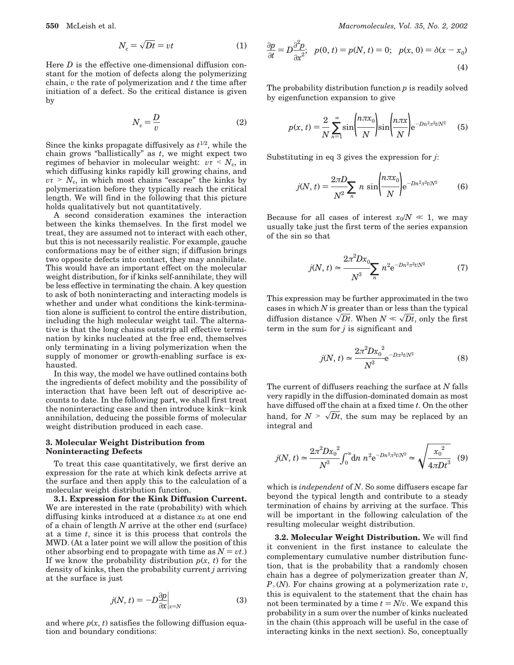$$
N_c = \sqrt{Dt} = vt \tag{1}
$$

Here *D* is the effective one-dimensional diffusion constant for the motion of defects along the polymerizing chain, *v* the rate of polymerization and *t* the time after initiation of a defect. So the critical distance is given by

$$
N_c = \frac{D}{v} \tag{2}
$$

Since the kinks propagate diffusively as  $t^{1/2}$ , while the chain grows "ballistically" as *t*, we might expect two regimes of behavior in molecular weight:  $v\tau \leq N_c$ , in which diffusing kinks rapidly kill growing chains, and  $v\tau > N_c$ , in which most chains "escape" the kinks by polymerization before they typically reach the critical length. We will find in the following that this picture holds qualitatively but not quantitatively.

A second consideration examines the interaction between the kinks themselves. In the first model we treat, they are assumed not to interact with each other, but this is not necessarily realistic. For example, gauche conformations may be of either sign; if diffusion brings two opposite defects into contact, they may annihilate. This would have an important effect on the molecular weight distribution, for if kinks self-annihilate, they will be less effective in terminating the chain. A key question to ask of both noninteracting and interacting models is whether and under what conditions the kink-termination alone is sufficient to control the entire distribution, including the high molecular weight tail. The alternative is that the long chains outstrip all effective termination by kinks nucleated at the free end, themselves only terminating in a living polymerization when the supply of monomer or growth-enabling surface is exhausted.

In this way, the model we have outlined contains both the ingredients of defect mobility and the possibility of interaction that have been left out of descriptive accounts to date. In the following part, we shall first treat the noninteracting case and then introduce kink-kink annihilation, deducing the possible forms of molecular weight distribution produced in each case.

#### **3. Molecular Weight Distribution from Noninteracting Defects**

To treat this case quantitatively, we first derive an expression for the rate at which kink defects arrive at the surface and then apply this to the calculation of a molecular weight distribution function.

**3.1. Expression for the Kink Diffusion Current.** We are interested in the rate (probability) with which diffusing kinks introduced at a distance  $x_0$  at one end of a chain of length *N* arrive at the other end (surface) at a time *t*, since it is this process that controls the MWD. (At a later point we will allow the position of this other absorbing end to propagate with time as  $N = vt$ .) If we know the probability distribution  $p(x, t)$  for the density of kinks, then the probability current *j* arriving at the surface is just

$$
j(N,t) = -D\frac{\partial p}{\partial x}\Big|_{x=N} \tag{3}
$$

and where  $p(x, t)$  satisfies the following diffusion equation and boundary conditions:

$$
\frac{\partial p}{\partial t} = D \frac{\partial^2 p}{\partial x^2}; \quad p(0, t) = p(N, t) = 0; \quad p(x, 0) = \delta(x - x_0)
$$
\n(4)

The probability distribution function *p* is readily solved by eigenfunction expansion to give

$$
p(x,t) = \frac{2}{N} \sum_{n=1}^{\infty} \sin\left(\frac{n\pi x_0}{N}\right) \sin\left(\frac{n\pi x}{N}\right) e^{-Dn^2 \pi^2 t/N^2}
$$
 (5)

Substituting in eq 3 gives the expression for *j*:

$$
j(N, t) = \frac{2\pi D}{N^2} \sum_{n} n \sin\left(\frac{n\pi x_0}{N}\right) e^{-Dn^2 \pi^2 t/N^2}
$$
 (6)

Because for all cases of interest  $x_0/N \ll 1$ , we may usually take just the first term of the series expansion of the sin so that

$$
j(N,t) \simeq \frac{2\pi^2 D x_0}{N^3} \sum_n n^2 e^{-D n^2 \pi^2 t/N^2}
$$
 (7)

This expression may be further approximated in the two cases in which *N* is greater than or less than the typical diffusion distance  $\sqrt{Dt}$ . When  $N \ll \sqrt{Dt}$ , only the first term in the sum for *j* is significant and

$$
j(N, t) \simeq \frac{2\pi^2 D x_0^2}{N^3} e^{-D\pi^2 t/N^2}
$$
 (8)

The current of diffusers reaching the surface at *N* falls very rapidly in the diffusion-dominated domain as most have diffused off the chain at a fixed time *t*. On the other hand, for  $N > \sqrt{Dt}$ , the sum may be replaced by an integral and

$$
j(N,t) \simeq \frac{2\pi^2 D x_0^2}{N^3} \int_0^\infty \mathrm{d}n \; n^2 \mathrm{e}^{-D n^2 \pi^2 t / N^2} \simeq \sqrt{\frac{x_0^2}{4\pi D t^3}} \quad (9)
$$

which is *independent* of *N*. So some diffusers escape far beyond the typical length and contribute to a steady termination of chains by arriving at the surface. This will be important in the following calculation of the resulting molecular weight distribution.

**3.2. Molecular Weight Distribution.** We will find it convenient in the first instance to calculate the complementary cumulative number distribution function, that is the probability that a randomly chosen chain has a degree of polymerization greater than *N*, *P*>(*N*). For chains growing at a polymerization rate *v*, this is equivalent to the statement that the chain has not been terminated by a time  $t = N/v$ . We expand this probability in a sum over the number of kinks nucleated in the chain (this approach will be useful in the case of interacting kinks in the next section). So, conceptually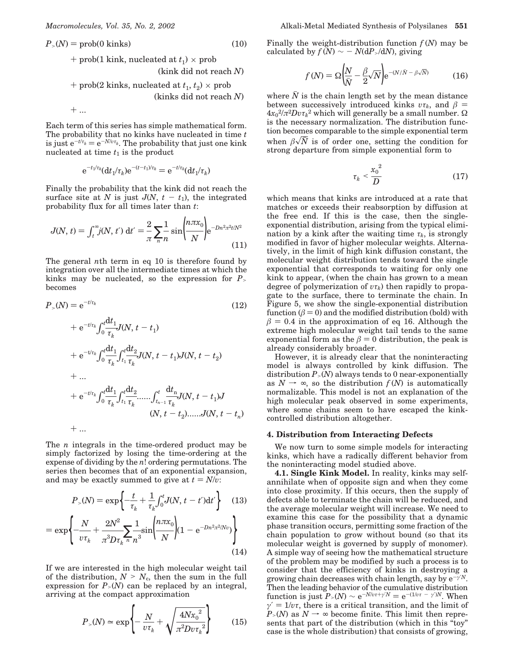$$
P_{>}(N) = \text{prob}(0 \text{ kinks}) \tag{10}
$$

$$
+\hbox{ prob(1 kink, nucleated at $t_1$)} \times \hbox{ prob}
$$
\n
$$
(\hbox{kink did not reach $N$})
$$
\n
$$
+\hbox{ prob(2 kinks, nucleated at $t_1$, $t_2$)} \times \hbox{ prob}
$$
\n
$$
(\hbox{kinks did not reach $N$})
$$

+ ...

-*t*/τ*<sup>k</sup>*

Each term of this series has simple mathematical form. The probability that no kinks have nucleated in time *t* is just  $e^{-t/\tau_k} = e^{-N/v\tau_k}$ . The probability that just one kink nucleated at time  $t_1$  is the product

$$
e^{-t_1/\tau_k}(\mathrm{d}t_1/\tau_k)e^{-(t-t_1)/\tau_k}=e^{-t/\tau_k}(\mathrm{d}t_1/\tau_k)
$$

Finally the probability that the kink did not reach the surface site at *N* is just  $J(N, t - t_1)$ , the integrated probability flux for all times later than *t*:

$$
J(N, t) = \int_{t}^{\infty} j(N, t') dt' = \frac{2}{\pi} \sum_{n} \frac{1}{n} \sin \left( \frac{n \pi x_0}{N} \right) e^{-Dn^2 \pi^2 t/N^2}
$$
(11)

The general *n*th term in eq 10 is therefore found by integration over all the intermediate times at which the kinks may be nucleated, so the expression for *P*<sup>&</sup>gt; becomes

$$
P_{>}(N) = e^{-t/\tau_{k}} \qquad (12)
$$
\n
$$
+ e^{-t/\tau_{k}} \int_{0}^{t} \frac{dt_{1}}{\tau_{k}} J(N, t - t_{1})
$$
\n
$$
+ e^{-t/\tau_{k}} \int_{0}^{t} \frac{dt_{1}}{\tau_{k}} \int_{t_{1}}^{t} \frac{dt_{2}}{\tau_{k}} J(N, t - t_{1}) J(N, t - t_{2})
$$
\n
$$
+ ...
$$
\n
$$
+ e^{-t/\tau_{k}} \int_{0}^{t} \frac{dt_{1}}{\tau_{k}} \int_{t_{1}}^{t} \frac{dt_{2}}{\tau_{k}} ... \int_{t_{n-1}}^{t} \frac{dt_{n}}{\tau_{k}} J(N, t - t_{1}) J(N, t - t_{n})
$$
\n
$$
(N, t - t_{2}) \dots J(N, t - t_{n})
$$
\n
$$
+ ...
$$
\n
$$
(N, t - t_{2}) \dots J(N, t - t_{n})
$$

The *n* integrals in the time-ordered product may be simply factorized by losing the time-ordering at the expense of dividing by the *n*! ordering permutations. The series then becomes that of an exponential expansion, and may be exactly summed to give at  $t = N/v$ :

$$
P_{>}(N) = \exp\left\{-\frac{t}{\tau_k} + \frac{1}{\tau_k} \int_0^t J(N, t - t') \mathrm{d}t'\right\} \tag{13}
$$

$$
= \exp\left\{-\frac{N}{v\tau_k} + \frac{2N^2}{\pi^3 D \tau_k} \sum_{n} \frac{1}{n^3} \sin\left(\frac{n\pi x_0}{N}\right) (1 - e^{-Dn^2 \pi^2 / Nv})\right\}
$$
(14)

If we are interested in the high molecular weight tail of the distribution,  $N > N_c$ , then the sum in the full expression for  $P_>(N)$  can be replaced by an integral, arriving at the compact approximation

$$
P_{>}(N) \simeq \exp\left\{-\frac{N}{v\tau_{k}} + \sqrt{\frac{4N{x_0}^2}{\pi^2 D v \tau_{k}^2}}\right\}
$$
(15)

Finally the weight-distribution function *f* (*N*) may be calculated by  $f(N) \sim -N(dP)/dN$ , giving

$$
f(N) = \Omega \left(\frac{N}{\bar{N}} - \frac{\beta}{2} \sqrt{N}\right) e^{-(N/\bar{N} - \beta \sqrt{N})}
$$
(16)

where  $\bar{N}$  is the chain length set by the mean distance between successively introduced kinks  $v\tau_k$ , and  $\beta =$  $4x<sub>0</sub><sup>2</sup>/π<sup>2</sup>Dvτ<sub>k</sub><sup>2</sup>$  which will generally be a small number. Ω is the necessary normalization. The distribution function becomes comparable to the simple exponential term when  $\beta\sqrt{N}$  is of order one, setting the condition for strong departure from simple exponential form to

$$
\tau_k < \frac{{x_0}^2}{D} \tag{17}
$$

which means that kinks are introduced at a rate that matches or exceeds their reabsorption by diffusion at the free end. If this is the case, then the singleexponential distribution, arising from the typical elimination by a kink after the waiting time  $\tau_k$ , is strongly modified in favor of higher molecular weights. Alternatively, in the limit of high kink diffusion constant, the molecular weight distribution tends toward the single exponential that corresponds to waiting for only one kink to appear, (when the chain has grown to a mean degree of polymerization of *v*τ*k*) then rapidly to propagate to the surface, there to terminate the chain. In Figure 5, we show the single-exponential distribution function ( $\beta = 0$ ) and the modified distribution (bold) with  $\beta$  = 0.4 in the approximation of eq 16. Although the extreme high molecular weight tail tends to the same exponential form as the  $\beta = 0$  distribution, the peak is already considerably broader.

However, it is already clear that the noninteracting model is always controlled by kink diffusion. The distribution  $P_>(N)$  always tends to 0 near-exponentially as  $N \rightarrow \infty$ , so the distribution  $f(N)$  is automatically normalizable. This model is not an explanation of the high molecular peak observed in some experiments, where some chains seem to have escaped the kinkcontrolled distribution altogether.

#### **4. Distribution from Interacting Defects**

We now turn to some simple models for interacting kinks, which have a radically different behavior from the noninteracting model studied above.

**4.1. Single Kink Model.** In reality, kinks may selfannihilate when of opposite sign and when they come into close proximity. If this occurs, then the supply of defects able to terminate the chain will be reduced, and the average molecular weight will increase. We need to examine this case for the possibility that a dynamic phase transition occurs, permitting some fraction of the chain population to grow without bound (so that its molecular weight is governed by supply of monomer). A simple way of seeing how the mathematical structure of the problem may be modified by such a process is to consider that the efficiency of kinks in destroying a growing chain decreases with chain length, say by e-γ′*<sup>N</sup>*. Then the leading behavior of the cumulative distribution function is just  $P_>(N) \sim e^{-N/v\tau + \gamma' N} = e^{-(1/v\tau - \gamma')N}$ . When  $\gamma' = 1/v\tau$ , there is a critical transition, and the limit of  $P_>(N)$  as  $N \rightarrow \infty$  become finite. This limit then represents that part of the distribution (which in this "toy" case is the whole distribution) that consists of growing,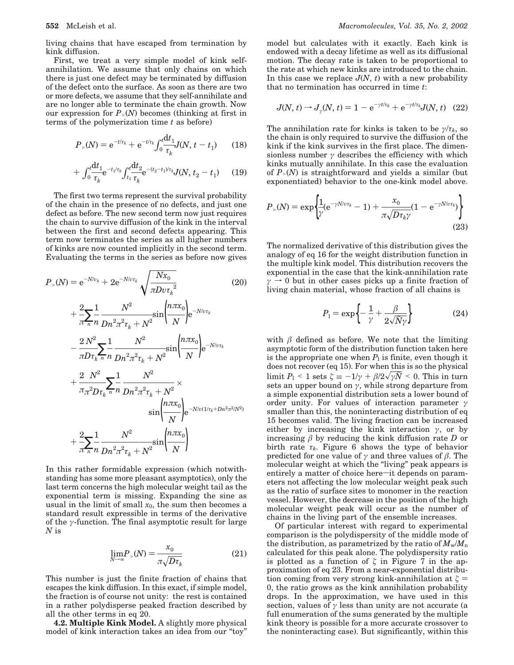living chains that have escaped from termination by kink diffusion.

First, we treat a very simple model of kink selfannihilation. We assume that only chains on which there is just one defect may be terminated by diffusion of the defect onto the surface. As soon as there are two or more defects, we assume that they self-annihilate and are no longer able to terminate the chain growth. Now our expression for  $P_>(N)$  becomes (thinking at first in terms of the polymerization time *t* as before)

$$
P_{>}(N) = e^{-t/\tau_k} + e^{-t/\tau_k} \int_0^t \frac{dt_1}{\tau_k} J(N, t - t_1)
$$
 (18)

$$
+ \int_0^t \frac{dt_1}{\tau_k} e^{-t_1/\tau_k} \int_{t_1}^t \frac{dt_2}{\tau_k} e^{-(t_2-t_1)/\tau_k} J(N, t_2 - t_1) \qquad (19)
$$

The first two terms represent the survival probability of the chain in the presence of no defects, and just one defect as before. The new second term now just requires the chain to survive diffusion of the kink in the interval between the first and second defects appearing. This term now terminates the series as all higher numbers of kinks are now counted implicitly in the second term. Evaluating the terms in the series as before now gives

$$
P_{>}(N) = e^{-N/v_k} + 2e^{-N/v_{\tau_k}} \sqrt{\frac{Nx_0}{\pi D v_{\tau_k}^2}}
$$
(20)  
+  $\frac{2}{\pi} \sum_{n} \frac{1}{n} \frac{N^2}{D n^2 \pi^2 \tau_k + N^2} \sin \left(\frac{n\pi x_0}{N}\right) e^{-N/v_{\tau_k}}$   
-  $\frac{2 N^2}{\pi D \tau_k} \sum_{n} \frac{1}{n} \frac{N^2}{D n^2 \pi^2 \tau_k + N^2} \sin \left(\frac{n\pi x_0}{N}\right) e^{-N/v_{\tau_k}}$   
+  $\frac{2 N^2}{\pi \tau_k^2 D \tau_k} \sum_{n} \frac{1}{n} \frac{N^2}{D n^2 \pi^2 \tau_k + N^2} \times \sin \left(\frac{n\pi x_0}{N}\right) e^{-N/v(1/\tau_k + D n^2 \pi^2/N^2)}$   
+  $\frac{2}{\pi} \sum_{n} \frac{1}{n} \frac{N^2}{D n^2 \pi^2 \tau_k + N^2} \sin \left(\frac{n\pi x_0}{N}\right)$  (20)

In this rather formidable expression (which notwithstanding has some more pleasant asymptotics), only the last term concerns the high molecular weight tail as the exponential term is missing. Expanding the sine as usual in the limit of small  $x_0$ , the sum then becomes a standard result expressible in terms of the derivative of the  $\gamma$ -function. The final asymptotic result for large *N* is

$$
\lim_{N \to \infty} P_{>}(N) = \frac{x_0}{\pi \sqrt{D \tau_k}}\tag{21}
$$

This number is just the finite fraction of chains that escapes the kink diffusion. In this exact, if simple model, the fraction is of course not unity: the rest is contained in a rather polydisperse peaked fraction described by all the other terms in eq 20.

**4.2. Multiple Kink Model.** A slightly more physical model of kink interaction takes an idea from our "toy"

model but calculates with it exactly. Each kink is endowed with a decay lifetime as well as its diffusional motion. The decay rate is taken to be proportional to the rate at which new kinks are introduced to the chain. In this case we replace  $J(N, t)$  with a new probability that no termination has occurred in time *t*:

$$
J(N, t) \rightarrow J_{\gamma}(N, t) = 1 - e^{-\gamma t/\tau_k} + e^{-\gamma t/\tau_k} J(N, t) \quad (22)
$$

The annihilation rate for kinks is taken to be  $\gamma/\tau_k$ , so the chain is only required to survive the diffusion of the kink if the kink survives in the first place. The dimensionless number  $\gamma$  describes the efficiency with which kinks mutually annihilate. In this case the evaluation of  $P_>(N)$  is straightforward and yields a similar (but exponentiated) behavior to the one-kink model above.

$$
P_{>}(N) = \exp\left\{\frac{1}{\gamma}(e^{-\gamma N/\nu\tau_k} - 1) + \frac{x_0}{\pi\sqrt{D\tau_k\gamma}}(1 - e^{-\gamma N/\nu\tau_k})\right\}
$$
(23)

The normalized derivative of this distribution gives the analogy of eq 16 for the weight distribution function in the multiple kink model. This distribution recovers the exponential in the case that the kink-annihilation rate  $\gamma \rightarrow 0$  but in other cases picks up a finite fraction of living chain material, whose fraction of all chains is

$$
P_1 = \exp\left\{-\frac{1}{\gamma} + \frac{\beta}{2\sqrt{N\gamma}}\right\} \tag{24}
$$

with  $\beta$  defined as before. We note that the limiting asymptotic form of the distribution function taken here is the appropriate one when  $P_1$  is finite, even though it does not recover (eq 15). For when this is so the physical limit *P*<sub>1</sub> < 1 sets  $\zeta = -1/\gamma + \beta/2\sqrt{\gamma N}$  < 0. This in turn sets an upper bound on  $\gamma$ , while strong departure from a simple exponential distribution sets a lower bound of order unity. For values of interaction parameter  $\gamma$ smaller than this, the noninteracting distribution of eq 15 becomes valid. The living fraction can be increased either by increasing the kink interaction  $\gamma$ , or by increasing  $\beta$  by reducing the kink diffusion rate *D* or birth rate  $\tau_k$ . Figure 6 shows the type of behavior predicted for one value of  $\gamma$  and three values of  $\beta$ . The molecular weight at which the "living" peak appears is entirely a matter of choice here—it depends on parameters not affecting the low molecular weight peak such as the ratio of surface sites to monomer in the reaction vessel. However, the decrease in the position of the high molecular weight peak will occur as the number of chains in the living part of the ensemble increases.

Of particular interest with regard to experimental comparison is the polydispersity of the middle mode of the distribution, as parametrized by the ratio of  $M_{\rm w}/M_{\rm n}$ calculated for this peak alone. The polydispersity ratio is plotted as a function of  $\zeta$  in Figure 7 in the approximation of eq 23. From a near-exponential distribution coming from very strong kink-annihilation at  $\zeta$  = 0, the ratio grows as the kink annihilation probability drops. In the approximation, we have used in this section, values of  $\gamma$  less than unity are not accurate (a full enumeration of the sums generated by the multiple kink theory is possible for a more accurate crossover to the noninteracting case). But significantly, within this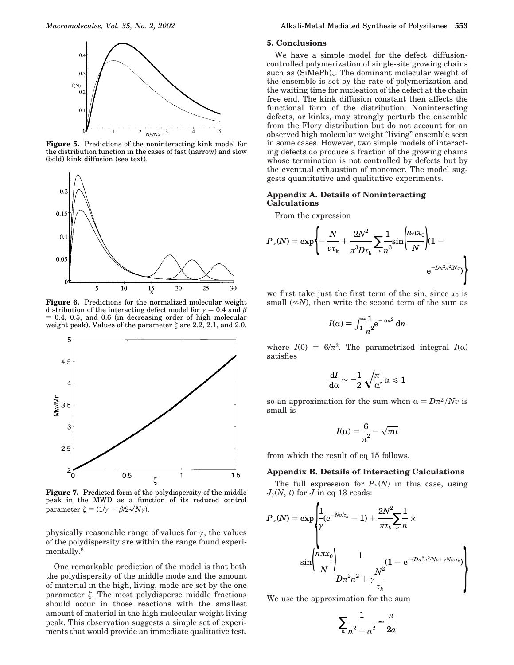

**Figure 5.** Predictions of the noninteracting kink model for the distribution function in the cases of fast (narrow) and slow (bold) kink diffusion (see text).



**Figure 6.** Predictions for the normalized molecular weight distribution of the interacting defect model for  $\gamma = 0.4$  and  $\beta$  $= 0.4, 0.5,$  and  $0.6$  (in decreasing order of high molecular weight peak). Values of the parameter  $\zeta$  are 2.2, 2.1, and 2.0.



**Figure 7.** Predicted form of the polydispersity of the middle peak in the MWD as a function of its reduced control parameter  $\zeta = (1/\gamma - \beta/2\sqrt{N\gamma}).$ 

physically reasonable range of values for  $\gamma$ , the values of the polydispersity are within the range found experimentally.<sup>8</sup>

One remarkable prediction of the model is that both the polydispersity of the middle mode and the amount of material in the high, living, mode are set by the one parameter  $\zeta$ . The most polydisperse middle fractions should occur in those reactions with the smallest amount of material in the high molecular weight living peak. This observation suggests a simple set of experiments that would provide an immediate qualitative test.

#### **5. Conclusions**

We have a simple model for the defect-diffusioncontrolled polymerization of single-site growing chains such as (SiMePh)*n*. The dominant molecular weight of the ensemble is set by the rate of polymerization and the waiting time for nucleation of the defect at the chain free end. The kink diffusion constant then affects the functional form of the distribution. Noninteracting defects, or kinks, may strongly perturb the ensemble from the Flory distribution but do not account for an observed high molecular weight "living" ensemble seen in some cases. However, two simple models of interacting defects do produce a fraction of the growing chains whose termination is not controlled by defects but by the eventual exhaustion of monomer. The model suggests quantitative and qualitative experiments.

#### **Appendix A. Details of Noninteracting Calculations**

From the expression

$$
P_>(N)=\exp\Biggl\{-\frac{N}{v\tau_{\rm k}}+\frac{2N^2}{\pi^3D\tau_{\rm k}}\sum_n\!\frac{1}{n}{{\rm sin}\Bigl(\!\frac{n\pi x_0}{N}\!\Bigr)}\!\!\bigl(1-\hspace{4mm}\frac{1}{e^{-Dn^2\pi^2\!/\!Nv}}\!\bigr)\!\Biggr\}
$$

we first take just the first term of the sin, since  $x_0$  is small  $(\ll N)$ , then write the second term of the sum as

$$
I(\alpha) = \int_1^{\infty} \frac{1}{n^2} e^{-\alpha n^2} dn
$$

where  $I(0) = 6/\pi^2$ . The parametrized integral  $I(\alpha)$ satisfies

$$
\frac{\mathrm{d} I}{\mathrm{d} \alpha} \sim -\frac{1}{2}\,\sqrt{\frac{\pi}{\alpha}}, \, \alpha \leqslant 1
$$

so an approximation for the sum when  $\alpha = D\pi^2 / Nv$  is small is

$$
I(\alpha) = \frac{6}{\pi^2} - \sqrt{\pi \alpha}
$$

from which the result of eq 15 follows.

#### **Appendix B. Details of Interacting Calculations**

The full expression for  $P_>(N)$  in this case, using  $J_{\gamma}(N, t)$  for *J* in eq 13 reads:

*P*>(*N*) ) exp{ 1 γ (e-*Nv*/τ*<sup>k</sup>* - 1) + 2*N* 2 πτ*<sup>k</sup>* ∑*n* 1 *n* × sin( *n*π*x*<sup>0</sup> *N* ) 1 *D*π 2 *n* <sup>2</sup> + γ *N* 2 τ*k* (1 - e -(*Dn*2π 2 /*Nv*+γ*N*/*v*τ*<sup>k</sup>* ) }

We use the approximation for the sum

$$
\sum_{n} \frac{1}{n^2 + a^2} \simeq \frac{\pi}{2a}
$$